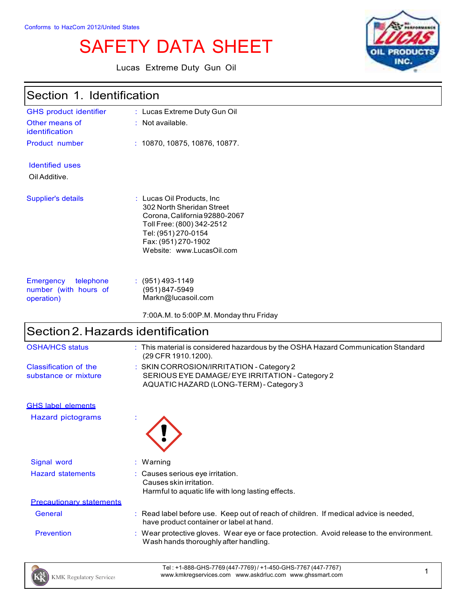# SAFETY DATA SHEET

Lucas Extreme Duty Gun Oil



| Section 1. Identification                                     |                                                                                                                                                                                                  |
|---------------------------------------------------------------|--------------------------------------------------------------------------------------------------------------------------------------------------------------------------------------------------|
| <b>GHS product identifier</b>                                 | : Lucas Extreme Duty Gun Oil                                                                                                                                                                     |
| Other means of<br>identification                              | $:$ Not available.                                                                                                                                                                               |
| Product number                                                | : 10870, 10875, 10876, 10877.                                                                                                                                                                    |
| <b>Identified uses</b>                                        |                                                                                                                                                                                                  |
| Oil Additive.                                                 |                                                                                                                                                                                                  |
| Supplier's details                                            | : Lucas Oil Products, Inc.<br>302 North Sheridan Street<br>Corona, California 92880-2067<br>Toll Free: (800) 342-2512<br>Tel: (951) 270-0154<br>Fax: (951) 270-1902<br>Website: www.LucasOil.com |
| Emergency<br>telephone<br>number (with hours of<br>operation) | $(951)$ 493-1149<br>$(951)847 - 5949$<br>Markn@lucasoil.com                                                                                                                                      |
|                                                               | 7:00A.M. to 5:00P.M. Monday thru Friday                                                                                                                                                          |

# $\left\vert$ Section 2. Hazards identification

| <b>OSHA/HCS status</b>          | : This material is considered hazardous by the OSHA Hazard Communication Standard<br>(29 CFR 1910.1200). |
|---------------------------------|----------------------------------------------------------------------------------------------------------|
| Classification of the           | : SKIN CORROSION/IRRITATION - Category 2                                                                 |
| substance or mixture            | SERIOUS EYE DAMAGE/ EYE IRRITATION - Category 2                                                          |
|                                 | AQUATIC HAZARD (LONG-TERM) - Category 3                                                                  |
| <b>GHS label elements</b>       |                                                                                                          |
| <b>Hazard pictograms</b>        |                                                                                                          |
| Signal word                     | : Warning                                                                                                |
| <b>Hazard statements</b>        | : Causes serious eye irritation.                                                                         |
|                                 | Causes skin irritation.                                                                                  |
|                                 | Harmful to aquatic life with long lasting effects.                                                       |
| <b>Precautionary statements</b> |                                                                                                          |
| General                         | : Read label before use. Keep out of reach of children. If medical advice is needed,                     |
|                                 | have product container or label at hand.                                                                 |
| <b>Prevention</b>               | $\therefore$ Wear protective gloves. Wear eye or face protection. Avoid release to the environment.      |
|                                 | Wash hands thoroughly after handling.                                                                    |

Tel : +1-888-GHS-7769 (447-7769) / +1-450-GHS-7767 (447-7767) Tel: +1-888-GHS-7709(447-7709)7+1-450-GHS-7707(447-7707)<br>www.kmkregservices.com www.askdrluc.com www.ghssmart.com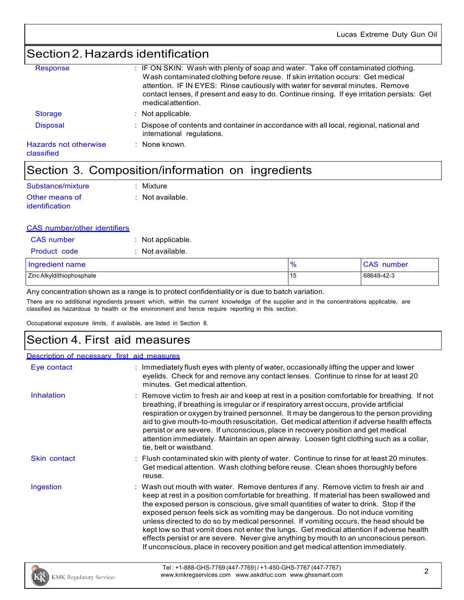### Section2.Hazards identification

| Response                                   | : IF ON SKIN: Wash with plenty of soap and water. Take off contaminated clothing.<br>Wash contaminated clothing before reuse. If skin irritation occurs: Get medical<br>attention. IF IN EYES: Rinse cautiously with water for several minutes. Remove<br>contact lenses, if present and easy to do. Continue rinsing. If eye irritation persists: Get<br>medical attention. |
|--------------------------------------------|------------------------------------------------------------------------------------------------------------------------------------------------------------------------------------------------------------------------------------------------------------------------------------------------------------------------------------------------------------------------------|
| <b>Storage</b>                             | $:$ Not applicable.                                                                                                                                                                                                                                                                                                                                                          |
| <b>Disposal</b>                            | : Dispose of contents and container in accordance with all local, regional, national and<br>international regulations.                                                                                                                                                                                                                                                       |
| <b>Hazards not otherwise</b><br>classified | $\therefore$ None known.                                                                                                                                                                                                                                                                                                                                                     |
|                                            |                                                                                                                                                                                                                                                                                                                                                                              |

### Section 3. Composition/information on ingredients

| Substance/mixture | : Mixture                   |
|-------------------|-----------------------------|
| Other means of    | $\therefore$ Not available. |
| identification    |                             |

#### CAS number/other identifiers

| <b>CAS</b> number         | $\therefore$ Not applicable. |               |                   |
|---------------------------|------------------------------|---------------|-------------------|
| <b>Product code</b>       | : Not available.             |               |                   |
| Ingredient name           |                              | $\frac{9}{6}$ | <b>CAS</b> number |
| Zinc Alkyldithiophosphate |                              | 15            | 68649-42-3        |

Any concentration shown as a range is to protect confidentiality or is due to batch variation.

There are no additional ingredients present which, within the current knowledge of the supplier and in the concentrations applicable, are classified as hazardous to health or the environment and hence require reporting in this section.

Occupational exposure limits, if available, are listed in Section 8.

### Section 4. First aid measures

#### Description of necessary first aid measures

| Eye contact         | : Immediately flush eyes with plenty of water, occasionally lifting the upper and lower<br>eyelids. Check for and remove any contact lenses. Continue to rinse for at least 20<br>minutes. Get medical attention.                                                                                                                                                                                                                                                                                                                                                                                                                                                                                                             |
|---------------------|-------------------------------------------------------------------------------------------------------------------------------------------------------------------------------------------------------------------------------------------------------------------------------------------------------------------------------------------------------------------------------------------------------------------------------------------------------------------------------------------------------------------------------------------------------------------------------------------------------------------------------------------------------------------------------------------------------------------------------|
| Inhalation          | Remove victim to fresh air and keep at rest in a position comfortable for breathing. If not<br>breathing, if breathing is irregular or if respiratory arrest occurs, provide artificial<br>respiration or oxygen by trained personnel. It may be dangerous to the person providing<br>aid to give mouth-to-mouth resuscitation. Get medical attention if adverse health effects<br>persist or are severe. If unconscious, place in recovery position and get medical<br>attention immediately. Maintain an open airway. Loosen tight clothing such as a collar,<br>tie, belt or waistband.                                                                                                                                    |
| <b>Skin contact</b> | : Flush contaminated skin with plenty of water. Continue to rinse for at least 20 minutes.<br>Get medical attention. Wash clothing before reuse. Clean shoes thoroughly before<br>reuse.                                                                                                                                                                                                                                                                                                                                                                                                                                                                                                                                      |
| Ingestion           | : Wash out mouth with water. Remove dentures if any. Remove victim to fresh air and<br>keep at rest in a position comfortable for breathing. If material has been swallowed and<br>the exposed person is conscious, give small quantities of water to drink. Stop if the<br>exposed person feels sick as vomiting may be dangerous. Do not induce vomiting<br>unless directed to do so by medical personnel. If vomiting occurs, the head should be<br>kept low so that vomit does not enter the lungs. Get medical attention if adverse health<br>effects persist or are severe. Never give anything by mouth to an unconscious person.<br>If unconscious, place in recovery position and get medical attention immediately. |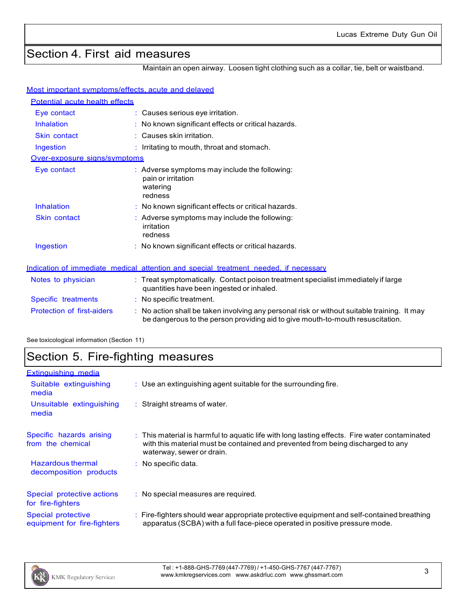# Section 4. First aid measures

Maintain an open airway. Loosen tight clothing such as a collar, tie, belt or waistband.

#### Most important symptoms/effects, acute and delayed

| Potential acute health effects |                                                                                                                                                                               |
|--------------------------------|-------------------------------------------------------------------------------------------------------------------------------------------------------------------------------|
| Eye contact                    | : Causes serious eye irritation.                                                                                                                                              |
| Inhalation                     | : No known significant effects or critical hazards.                                                                                                                           |
| <b>Skin contact</b>            | $:$ Causes skin irritation.                                                                                                                                                   |
| Ingestion                      | : Irritating to mouth, throat and stomach.                                                                                                                                    |
| Over-exposure signs/symptoms   |                                                                                                                                                                               |
| Eye contact                    | $\therefore$ Adverse symptoms may include the following:<br>pain or irritation<br>watering<br>redness                                                                         |
| <b>Inhalation</b>              | : No known significant effects or critical hazards.                                                                                                                           |
| <b>Skin contact</b>            | $:$ Adverse symptoms may include the following:<br>irritation<br>redness                                                                                                      |
| Ingestion                      | $:$ No known significant effects or critical hazards.                                                                                                                         |
|                                | Indication of immediate medical attention and special treatment needed, if necessary                                                                                          |
| Notes to physician             | : Treat symptomatically. Contact poison treatment specialist immediately if large<br>quantities have been ingested or inhaled.                                                |
| Specific treatments            | $:$ No specific treatment.                                                                                                                                                    |
| Protection of first-aiders     | : No action shall be taken involving any personal risk or without suitable training. It may<br>be dangerous to the person providing aid to give mouth-to-mouth resuscitation. |

See toxicological information (Section 11)

# Section 5. Fire-fighting measures

| <b>Extinguishing media</b>                        |                                                                                                                                                                                                               |
|---------------------------------------------------|---------------------------------------------------------------------------------------------------------------------------------------------------------------------------------------------------------------|
| Suitable extinguishing<br>media                   | : Use an extinguishing agent suitable for the surrounding fire.                                                                                                                                               |
| Unsuitable extinguishing<br>media                 | : Straight streams of water.                                                                                                                                                                                  |
| Specific hazards arising<br>from the chemical     | : This material is harmful to aquatic life with long lasting effects. Fire water contaminated<br>with this material must be contained and prevented from being discharged to any<br>waterway, sewer or drain. |
| Hazardous thermal<br>decomposition products       | : No specific data.                                                                                                                                                                                           |
| Special protective actions<br>for fire-fighters   | : No special measures are required.                                                                                                                                                                           |
| Special protective<br>equipment for fire-fighters | : Fire-fighters should wear appropriate protective equipment and self-contained breathing<br>apparatus (SCBA) with a full face-piece operated in positive pressure mode.                                      |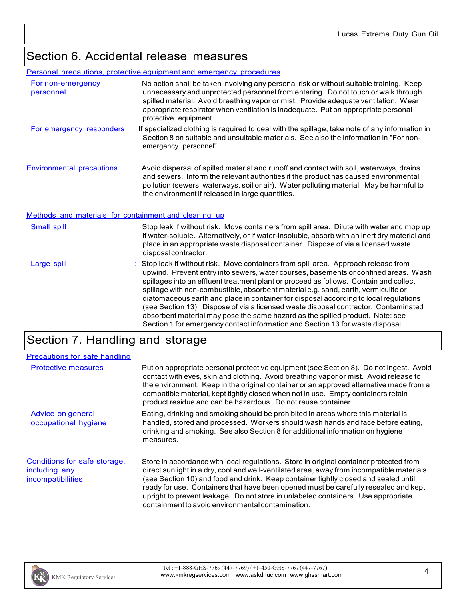### Section 6. Accidental release measures

#### Personal precautions, protective equipment and emergency procedures

|                                                       | <u> A CONTAIN DI COLORIO A DI CROCHTO CALIBITIONI CHILOI QUITOT DI COCALIDI</u>                                                                                                                                                                                                                                                                                                      |
|-------------------------------------------------------|--------------------------------------------------------------------------------------------------------------------------------------------------------------------------------------------------------------------------------------------------------------------------------------------------------------------------------------------------------------------------------------|
| For non-emergency<br>personnel                        | : No action shall be taken involving any personal risk or without suitable training. Keep<br>unnecessary and unprotected personnel from entering. Do not touch or walk through<br>spilled material. Avoid breathing vapor or mist. Provide adequate ventilation. Wear<br>appropriate respirator when ventilation is inadequate. Put on appropriate personal<br>protective equipment. |
| For emergency responders :                            | If specialized clothing is required to deal with the spillage, take note of any information in<br>Section 8 on suitable and unsuitable materials. See also the information in "For non-<br>emergency personnel".                                                                                                                                                                     |
| <b>Environmental precautions</b>                      | : Avoid dispersal of spilled material and runoff and contact with soil, waterways, drains<br>and sewers. Inform the relevant authorities if the product has caused environmental<br>pollution (sewers, waterways, soil or air). Water polluting material. May be harmful to<br>the environment if released in large quantities.                                                      |
| Methods and materials for containment and cleaning up |                                                                                                                                                                                                                                                                                                                                                                                      |
| Small spill                                           | : Stop leak if without risk. Move containers from spill area. Dilute with water and mop up<br>if water-soluble. Alternatively, or if water-insoluble, absorb with an inert dry material and<br>place in an appropriate waste disposal container. Dispose of via a licensed waste<br>disposalcontractor.                                                                              |
| Large spill                                           | Stop leak if without risk. Move containers from spill area. Approach release from<br>upwind. Prevent entry into sewers, water courses, basements or confined areas. Wash<br>spillages into an effluent treatment plant or proceed as follows. Contain and collect<br>spillage with non-combustible, absorbent material e.g. sand, earth, vermiculite or                              |

diatomaceous earth and place in container for disposal according to local regulations (see Section 13). Dispose of via a licensed waste disposal contractor. Contaminated absorbent material may pose the same hazard as the spilled product. Note: see Section 1 for emergency contact information and Section 13 for waste disposal.

# Section 7. Handling and storage

| <b>Precautions for safe handling</b>                               |                                                                                                                                                                                                                                                                                                                                                                                                                                                                                                               |
|--------------------------------------------------------------------|---------------------------------------------------------------------------------------------------------------------------------------------------------------------------------------------------------------------------------------------------------------------------------------------------------------------------------------------------------------------------------------------------------------------------------------------------------------------------------------------------------------|
| <b>Protective measures</b>                                         | : Put on appropriate personal protective equipment (see Section 8). Do not ingest. Avoid<br>contact with eyes, skin and clothing. Avoid breathing vapor or mist. Avoid release to<br>the environment. Keep in the original container or an approved alternative made from a<br>compatible material, kept tightly closed when not in use. Empty containers retain<br>product residue and can be hazardous. Do not reuse container.                                                                             |
| Advice on general<br>occupational hygiene                          | : Eating, drinking and smoking should be prohibited in areas where this material is<br>handled, stored and processed. Workers should wash hands and face before eating,<br>drinking and smoking. See also Section 8 for additional information on hygiene<br>measures.                                                                                                                                                                                                                                        |
| Conditions for safe storage,<br>including any<br>incompatibilities | : Store in accordance with local regulations. Store in original container protected from<br>direct sunlight in a dry, cool and well-ventilated area, away from incompatible materials<br>(see Section 10) and food and drink. Keep container tightly closed and sealed until<br>ready for use. Containers that have been opened must be carefully resealed and kept<br>upright to prevent leakage. Do not store in unlabeled containers. Use appropriate<br>containment to avoid environmental contamination. |

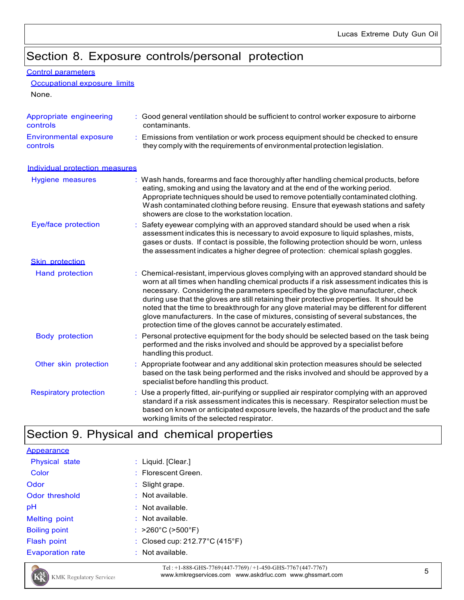## Section 8. Exposure controls/personal protection

| Control parameters |
|--------------------|
|                    |

Occupational exposure limits

None.

| Appropriate engineering<br>controls       | Good general ventilation should be sufficient to control worker exposure to airborne<br>contaminants.                                                                                                                                                                                                                                                                                                                                                                                                                                                                                                                |
|-------------------------------------------|----------------------------------------------------------------------------------------------------------------------------------------------------------------------------------------------------------------------------------------------------------------------------------------------------------------------------------------------------------------------------------------------------------------------------------------------------------------------------------------------------------------------------------------------------------------------------------------------------------------------|
| <b>Environmental exposure</b><br>controls | : Emissions from ventilation or work process equipment should be checked to ensure<br>they comply with the requirements of environmental protection legislation.                                                                                                                                                                                                                                                                                                                                                                                                                                                     |
| Individual protection measures            |                                                                                                                                                                                                                                                                                                                                                                                                                                                                                                                                                                                                                      |
| Hygiene measures                          | : Wash hands, forearms and face thoroughly after handling chemical products, before<br>eating, smoking and using the lavatory and at the end of the working period.<br>Appropriate techniques should be used to remove potentially contaminated clothing.<br>Wash contaminated clothing before reusing. Ensure that eyewash stations and safety<br>showers are close to the workstation location.                                                                                                                                                                                                                    |
| Eye/face protection                       | Safety eyewear complying with an approved standard should be used when a risk<br>assessment indicates this is necessary to avoid exposure to liquid splashes, mists,<br>gases or dusts. If contact is possible, the following protection should be worn, unless<br>the assessment indicates a higher degree of protection: chemical splash goggles.                                                                                                                                                                                                                                                                  |
| <b>Skin protection</b>                    |                                                                                                                                                                                                                                                                                                                                                                                                                                                                                                                                                                                                                      |
| Hand protection                           | Chemical-resistant, impervious gloves complying with an approved standard should be<br>worn at all times when handling chemical products if a risk assessment indicates this is<br>necessary. Considering the parameters specified by the glove manufacturer, check<br>during use that the gloves are still retaining their protective properties. It should be<br>noted that the time to breakthrough for any glove material may be different for different<br>glove manufacturers. In the case of mixtures, consisting of several substances, the<br>protection time of the gloves cannot be accurately estimated. |
| <b>Body protection</b>                    | : Personal protective equipment for the body should be selected based on the task being<br>performed and the risks involved and should be approved by a specialist before<br>handling this product.                                                                                                                                                                                                                                                                                                                                                                                                                  |
| Other skin protection                     | : Appropriate footwear and any additional skin protection measures should be selected<br>based on the task being performed and the risks involved and should be approved by a<br>specialist before handling this product.                                                                                                                                                                                                                                                                                                                                                                                            |
| <b>Respiratory protection</b>             | : Use a properly fitted, air-purifying or supplied air respirator complying with an approved<br>standard if a risk assessment indicates this is necessary. Respirator selection must be<br>based on known or anticipated exposure levels, the hazards of the product and the safe<br>working limits of the selected respirator.                                                                                                                                                                                                                                                                                      |

# Section 9. Physical and chemical properties

| <b>Appearance</b>       |                                                     |
|-------------------------|-----------------------------------------------------|
| <b>Physical state</b>   | $:$ Liquid. [Clear.]                                |
| Color                   | : Florescent Green.                                 |
| Odor                    | $\therefore$ Slight grape.                          |
| Odor threshold          | $:$ Not available.                                  |
| рH                      | $:$ Not available.                                  |
| <b>Melting point</b>    | $:$ Not available.                                  |
| <b>Boiling point</b>    | : $>260^{\circ}$ C ( $>500^{\circ}$ F)              |
| Flash point             | : Closed cup: $212.77^{\circ}$ C (415 $^{\circ}$ F) |
| <b>Evaporation rate</b> | $:$ Not available.                                  |



Tel : +1-888-GHS-7769 (447-7769)/ +1-450-GHS-7767 (447-7767) Tel:  $+1-888-GHS-7/69(447-7/69)/+1-450-GHS-7/67(447-7/67)$ <br>www.kmkregservices.com www.askdrluc.com www.ghssmart.com  $5$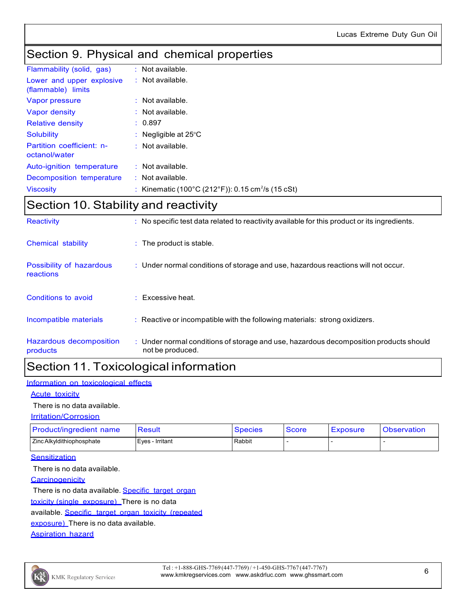### Section 9. Physical and chemical properties

| Flammability (solid, gas)                       | $:$ Not available.                                            |
|-------------------------------------------------|---------------------------------------------------------------|
| Lower and upper explosive<br>(flammable) limits | $:$ Not available.                                            |
| Vapor pressure                                  | $:$ Not available.                                            |
| Vapor density                                   | $:$ Not available.                                            |
| <b>Relative density</b>                         | : 0.897                                                       |
| <b>Solubility</b>                               | : Negligible at $25^{\circ}$ C                                |
| Partition coefficient: n-<br>octanol/water      | $:$ Not available.                                            |
| Auto-ignition temperature                       | $:$ Not available.                                            |
| Decomposition temperature                       | $:$ Not available.                                            |
| <b>Viscosity</b>                                | : Kinematic (100°C (212°F)): 0.15 cm <sup>2</sup> /s (15 cSt) |

# Section 10. Stability and reactivity

| Reactivity                            | : No specific test data related to reactivity available for this product or its ingredients.              |
|---------------------------------------|-----------------------------------------------------------------------------------------------------------|
| Chemical stability                    | $\therefore$ The product is stable.                                                                       |
| Possibility of hazardous<br>reactions | $\therefore$ Under normal conditions of storage and use, hazardous reactions will not occur.              |
| Conditions to avoid                   | $\therefore$ Excessive heat.                                                                              |
| Incompatible materials                | : Reactive or incompatible with the following materials: strong oxidizers.                                |
| Hazardous decomposition<br>products   | : Under normal conditions of storage and use, hazardous decomposition products should<br>not be produced. |

### Section 11. Toxicological information

#### Information on toxicological effects

#### Acute toxicity

#### There is no data available.

#### Irritation/Corrosion

| <b>Product/ingredient name</b> | Result          | <b>Species</b> | <b>Score</b> | Exposure | <b>Observation</b> |
|--------------------------------|-----------------|----------------|--------------|----------|--------------------|
| Zinc Alkyldithiophosphate      | Eves - Irritant | Rabbit         |              |          |                    |

#### **Sensitization**

There is no data available.

**Carcinogenicity** 

There is no data available. Specific target organ toxicity (single exposure) There is no data available. Specific target organ toxicity (repeated exposure) There is no data available.

Aspiration hazard

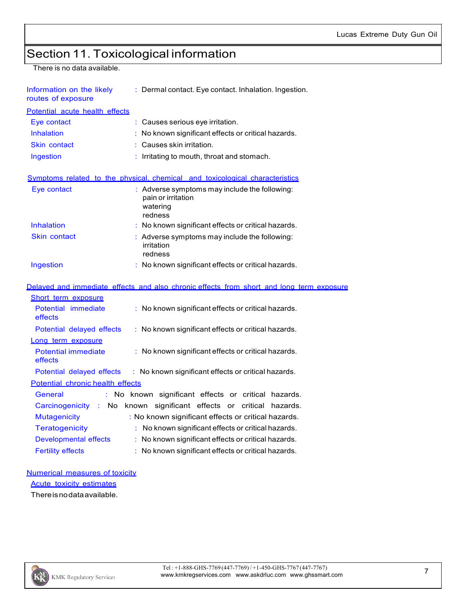# Section 11. Toxicological information

There is no data available.

| Information on the likely<br>routes of exposure | : Dermal contact. Eye contact. Inhalation. Ingestion.                                                 |  |
|-------------------------------------------------|-------------------------------------------------------------------------------------------------------|--|
| Potential acute health effects                  |                                                                                                       |  |
| Eye contact                                     | $\therefore$ Causes serious eye irritation.                                                           |  |
| Inhalation                                      | No known significant effects or critical hazards.                                                     |  |
| <b>Skin contact</b>                             | : Causes skin irritation.                                                                             |  |
| Ingestion                                       | : Irritating to mouth, throat and stomach.                                                            |  |
|                                                 | Symptoms related to the physical, chemical and toxicological characteristics                          |  |
| Eye contact                                     | $\therefore$ Adverse symptoms may include the following:<br>pain or irritation<br>watering<br>redness |  |
| <b>Inhalation</b>                               | $\therefore$ No known significant effects or critical hazards.                                        |  |
| <b>Skin contact</b>                             | $\therefore$ Adverse symptoms may include the following:<br>irritation<br>redness                     |  |
| Ingestion                                       | $\therefore$ No known significant effects or critical hazards.                                        |  |
|                                                 |                                                                                                       |  |

| Delayed and immediate effects and also chronic effects from short and long term exposure                |  |
|---------------------------------------------------------------------------------------------------------|--|
| Short term exposure                                                                                     |  |
| $\therefore$ No known significant effects or critical hazards.<br>Potential immediate<br>effects        |  |
| $\therefore$ No known significant effects or critical hazards.<br>Potential delayed effects             |  |
| Long term exposure                                                                                      |  |
| $\therefore$ No known significant effects or critical hazards.<br><b>Potential immediate</b><br>effects |  |
| Potential delayed effects : No known significant effects or critical hazards.                           |  |
| Potential chronic health effects                                                                        |  |
| : No known significant effects or critical hazards.<br>General                                          |  |
| Carcinogenicity : No known significant effects or critical hazards.                                     |  |
| <b>Mutagenicity</b><br>: No known significant effects or critical hazards.                              |  |
| <b>Teratogenicity</b><br>$\therefore$ No known significant effects or critical hazards.                 |  |
| Developmental effects<br>$\therefore$ No known significant effects or critical hazards.                 |  |
| <b>Fertility effects</b><br>$\therefore$ No known significant effects or critical hazards.              |  |
|                                                                                                         |  |

#### Numerical measures of toxicity

Acute toxicity estimates

Thereisnodataavailable.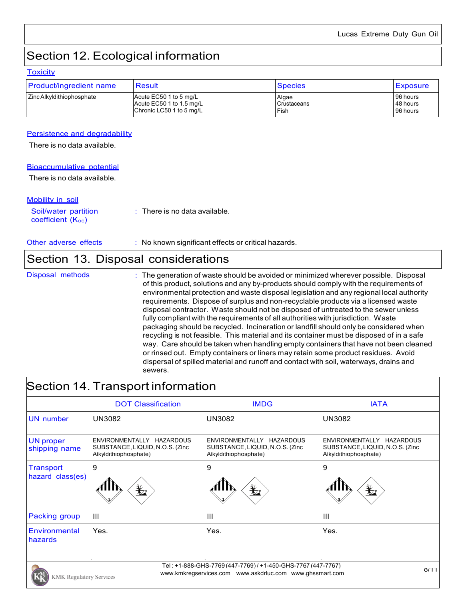# Section 12. Ecological information

#### **Toxicity**

| Product/ingredient name   | Result                   | <b>Species</b> | <b>Exposure</b> |
|---------------------------|--------------------------|----------------|-----------------|
| Zinc Alkyldithiophosphate | Acute EC50 1 to 5 mg/L   | Algae          | 96 hours        |
|                           | Acute EC50 1 to 1.5 mg/L | Crustaceans    | 48 hours        |
|                           | Chronic LC50 1 to 5 mg/L | Fish           | 96 hours        |

#### Persistence and degradability

There is no data available.

#### Bioaccumulative potential

There is no data available.

#### Mobility in soil

Soil/water partition coefficient  $(K_{OC})$ : There is no data available.

Other adverse effects : No known significant effects or critical hazards.

### Section 13. Disposal considerations

|  | Disposal method |  |
|--|-----------------|--|
|  |                 |  |

Is **Example 20** The generation of waste should be avoided or minimized wherever possible. Disposal of this product, solutions and any by-products should comply with the requirements of environmental protection and waste disposal legislation and any regional local authority requirements. Dispose of surplus and non-recyclable products via a licensed waste disposal contractor. Waste should not be disposed of untreated to the sewer unless fully compliant with the requirements of all authorities with jurisdiction. Waste packaging should be recycled. Incineration or landfill should only be considered when recycling is not feasible. This material and its container must be disposed of in a safe way. Care should be taken when handling empty containers that have not been cleaned or rinsed out. Empty containers or liners may retain some product residues. Avoid dispersal of spilled material and runoff and contact with soil, waterways, drains and sewers.

### Section 14. Transport information

| <b>DOT Classification</b>                                                             | <b>IMDG</b>                                                                           | <b>IATA</b>                                                                                                              |
|---------------------------------------------------------------------------------------|---------------------------------------------------------------------------------------|--------------------------------------------------------------------------------------------------------------------------|
| UN3082                                                                                | <b>UN3082</b>                                                                         | <b>UN3082</b>                                                                                                            |
| ENVIRONMENTALLY HAZARDOUS<br>SUBSTANCE, LIQUID, N.O.S. (Zinc<br>Alkyldithiophosphate) | ENVIRONMENTALLY HAZARDOUS<br>SUBSTANCE, LIQUID, N.O.S. (Zinc<br>Alkyldithiophosphate) | ENVIRONMENTALLY HAZARDOUS<br>SUBSTANCE, LIQUID, N.O.S. (Zinc.<br>Alkyldithiophosphate)                                   |
| 9<br>$\mathbf{\mathbf{\underline{Y}}}_2$                                              | 9<br>$\mathbf{r}$                                                                     | 9<br>$\bigoplus$                                                                                                         |
| Ш                                                                                     | Ш                                                                                     | Ш                                                                                                                        |
| Yes.                                                                                  | Yes.                                                                                  | Yes.                                                                                                                     |
|                                                                                       |                                                                                       | 8/11                                                                                                                     |
|                                                                                       | <b>KMK Regulatory Services</b>                                                        | Tel: +1-888-GHS-7769 (447-7769) / +1-450-GHS-7767 (447-7767)<br>www.kmkregservices.com www.askdrluc.com www.ghssmart.com |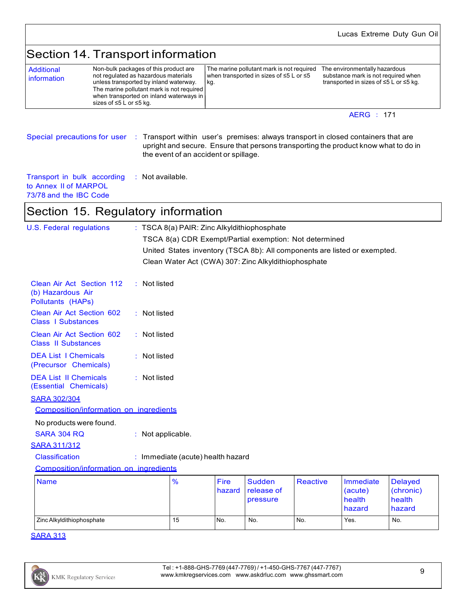### Section 14. Transport information

| Additional<br>information | Non-bulk packages of this product are<br>not regulated as hazardous materials<br>unless transported by inland waterway. | ١v<br>l k |
|---------------------------|-------------------------------------------------------------------------------------------------------------------------|-----------|
|                           | The marine pollutant mark is not required<br>when transported on inland waterways in                                    |           |
|                           | sizes of ≤5 L or ≤5 kg.                                                                                                 |           |

Fhe marine pollutant mark is not required The environmentally hazardous<br>when transported in sizes of ≤5 L or ≤5 substance mark is not required when vhen transported in sizes of ≤5 L or ≤5<br>:g.

transported in sizes of  $\leq$ 5 L or  $\leq$ 5 kg.

#### AERG : 171

Special precautions for user : Transport within user's premises: always transport in closed containers that are upright and secure. Ensure that persons transporting the product know what to do in the event of an accident or spillage.

Transport in bulk according to Annex II of MARPOL 73/78 and the IBC Code : Not available.

### Section 15. Regulatory information

| <b>U.S. Federal regulations</b>                                     |                   | : TSCA 8(a) PAIR: Zinc Alkyldithiophosphate |                       |                                                        |                 |                                                                           |                                                 |
|---------------------------------------------------------------------|-------------------|---------------------------------------------|-----------------------|--------------------------------------------------------|-----------------|---------------------------------------------------------------------------|-------------------------------------------------|
|                                                                     |                   |                                             |                       | TSCA 8(a) CDR Exempt/Partial exemption: Not determined |                 |                                                                           |                                                 |
|                                                                     |                   |                                             |                       |                                                        |                 | United States inventory (TSCA 8b): All components are listed or exempted. |                                                 |
|                                                                     |                   |                                             |                       | Clean Water Act (CWA) 307: Zinc Alkyldithiophosphate   |                 |                                                                           |                                                 |
|                                                                     |                   |                                             |                       |                                                        |                 |                                                                           |                                                 |
| Clean Air Act Section 112<br>(b) Hazardous Air<br>Pollutants (HAPs) | $:$ Not listed    |                                             |                       |                                                        |                 |                                                                           |                                                 |
| <b>Clean Air Act Section 602</b><br><b>Class   Substances</b>       | : Not listed      |                                             |                       |                                                        |                 |                                                                           |                                                 |
| Clean Air Act Section 602<br><b>Class II Substances</b>             | : Not listed      |                                             |                       |                                                        |                 |                                                                           |                                                 |
| <b>DEA List I Chemicals</b><br>(Precursor Chemicals)                | : Not listed      |                                             |                       |                                                        |                 |                                                                           |                                                 |
| <b>DEA List II Chemicals</b><br>(Essential Chemicals)               | : Not listed      |                                             |                       |                                                        |                 |                                                                           |                                                 |
| <b>SARA 302/304</b>                                                 |                   |                                             |                       |                                                        |                 |                                                                           |                                                 |
| Composition/information on ingredients                              |                   |                                             |                       |                                                        |                 |                                                                           |                                                 |
| No products were found.                                             |                   |                                             |                       |                                                        |                 |                                                                           |                                                 |
| <b>SARA 304 RQ</b>                                                  | : Not applicable. |                                             |                       |                                                        |                 |                                                                           |                                                 |
| <b>SARA 311/312</b>                                                 |                   |                                             |                       |                                                        |                 |                                                                           |                                                 |
| <b>Classification</b>                                               |                   | : Immediate (acute) health hazard           |                       |                                                        |                 |                                                                           |                                                 |
| Composition/information on ingredients                              |                   |                                             |                       |                                                        |                 |                                                                           |                                                 |
| <b>Name</b>                                                         |                   | %                                           | <b>Fire</b><br>hazard | Sudden<br>release of<br>pressure                       | <b>Reactive</b> | Immediate<br>(acute)<br>health<br>hazard                                  | <b>Delayed</b><br>(chronic)<br>health<br>hazard |

SARA 313

Zinc Alkyldithiophosphate 15 No. No. No. No. Yes. No. No.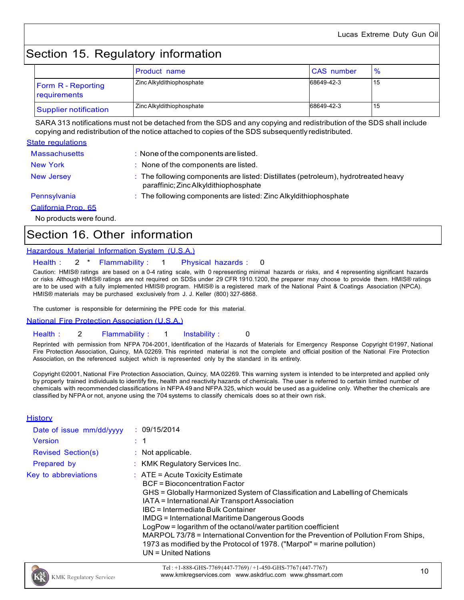# Section 15. Regulatory information

|                                           | <b>Product name</b>       | <b>CAS</b> number | $\frac{6}{6}$ |
|-------------------------------------------|---------------------------|-------------------|---------------|
| <b>Form R</b> - Reporting<br>requirements | Zinc Alkyldithiophosphate | 68649-42-3        | 15            |
| Supplier notification                     | Zinc Alkyldithiophosphate | 68649-42-3        | 15            |

SARA 313 notifications must not be detached from the SDS and any copying and redistribution of the SDS shall include copying and redistribution of the notice attached to copies of the SDS subsequently redistributed.

#### State regulations

| <b>Massachusetts</b> | $\therefore$ None of the components are listed.                                                                             |
|----------------------|-----------------------------------------------------------------------------------------------------------------------------|
| <b>New York</b>      | : None of the components are listed.                                                                                        |
| <b>New Jersey</b>    | : The following components are listed: Distillates (petroleum), hydrotreated heavy<br>paraffinic; Zinc Alkyldithiophosphate |
| Pennsylvania         | $\therefore$ The following components are listed: Zinc Alkyldithiophosphate                                                 |
| California Prop. 65  |                                                                                                                             |
|                      |                                                                                                                             |

No products were found.

### Section 16. Other information

#### Hazardous Material Information System (U.S.A.)

#### Health : 2 \* Flammability : 1 Physical hazards : 0

Caution: HMIS® ratings are based on a 0-4 rating scale, with 0 representing minimal hazards or risks, and 4 representing significant hazards or risks Although HMIS® ratings are not required on SDSs under 29 CFR 1910.1200, the preparer may choose to provide them. HMIS® ratings are to be used with a fully implemented HMIS® program. HMIS® is a registered mark of the National Paint & Coatings Association (NPCA). HMIS® materials may be purchased exclusively from J. J. Keller (800) 327-6868.

The customer is responsible for determining the PPE code for this material.

#### National Fire Protection Association (U.S.A.)

#### Health : 2 Flammability : 1 Instability : 0

Reprinted with permission from NFPA 704-2001, Identification of the Hazards of Materials for Emergency Response Copyright ©1997, National Fire Protection Association, Quincy, MA 02269. This reprinted material is not the complete and official position of the National Fire Protection Association, on the referenced subject which is represented only by the standard in its entirety.

Copyright ©2001, National Fire Protection Association, Quincy, MA 02269. This warning system is intended to be interpreted and applied only by properly trained individuals to identify fire, health and reactivity hazards of chemicals. The user is referred to certain limited number of chemicals with recommended classifications in NFPA 49 and NFPA 325, which would be used as a guideline only. Whether the chemicals are classified by NFPA or not, anyone using the 704 systems to classify chemicals does so at their own risk.

#### **History**

| Date of issue mm/dd/yyyy  | : 09/15/2014                                                                                                                                                                                                                                                                                                                                                                                                                                                                                                                                                          |
|---------------------------|-----------------------------------------------------------------------------------------------------------------------------------------------------------------------------------------------------------------------------------------------------------------------------------------------------------------------------------------------------------------------------------------------------------------------------------------------------------------------------------------------------------------------------------------------------------------------|
| <b>Version</b>            | $\therefore$ 1                                                                                                                                                                                                                                                                                                                                                                                                                                                                                                                                                        |
| <b>Revised Section(s)</b> | : Not applicable.                                                                                                                                                                                                                                                                                                                                                                                                                                                                                                                                                     |
| Prepared by               | : KMK Regulatory Services Inc.                                                                                                                                                                                                                                                                                                                                                                                                                                                                                                                                        |
| Key to abbreviations      | $\therefore$ ATE = Acute Toxicity Estimate<br><b>BCF</b> = Bioconcentration Factor<br>GHS = Globally Harmonized System of Classification and Labelling of Chemicals<br>IATA = International Air Transport Association<br>IBC = Intermediate Bulk Container<br>IMDG = International Maritime Dangerous Goods<br>LogPow = logarithm of the octanol/water partition coefficient<br>MARPOL 73/78 = International Convention for the Prevention of Pollution From Ships,<br>1973 as modified by the Protocol of 1978. ("Marpol" = marine pollution)<br>UN = United Nations |